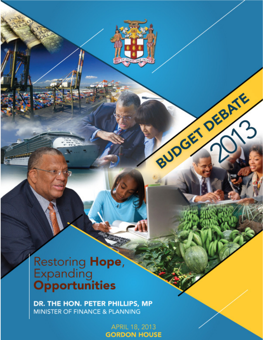BUDGET DEBATE

# Restoring Hope,<br>Expanding<br>Opportunities

DR. THE HON. PETER PHILLIPS, MP MINISTER OF FINANCE & PLANNING

> **APRIL 18, 2013 GORDON HOUSE**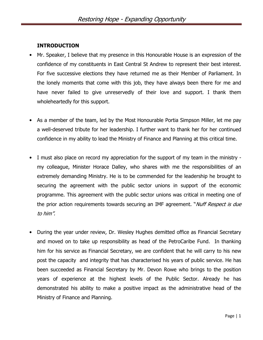#### INTRODUCTION

- Mr. Speaker, I believe that my presence in this Honourable House is an expression of the confidence of my constituents in East Central St Andrew to represent their best interest. For five successive elections they have returned me as their Member of Parliament. In the lonely moments that come with this job, they have always been there for me and have never failed to give unreservedly of their love and support. I thank them wholeheartedly for this support.
- As a member of the team, led by the Most Honourable Portia Simpson Miller, let me pay a well-deserved tribute for her leadership. I further want to thank her for her continued confidence in my ability to lead the Ministry of Finance and Planning at this critical time.
- I must also place on record my appreciation for the support of my team in the ministry my colleague, Minister Horace Dalley, who shares with me the responsibilities of an extremely demanding Ministry. He is to be commended for the leadership he brought to securing the agreement with the public sector unions in support of the economic programme. This agreement with the public sector unions was critical in meeting one of the prior action requirements towards securing an IMF agreement. "Nuff Respect is due to him".
- During the year under review, Dr. Wesley Hughes demitted office as Financial Secretary and moved on to take up responsibility as head of the PetroCaribe Fund. In thanking him for his service as Financial Secretary, we are confident that he will carry to his new post the capacity and integrity that has characterised his years of public service. He has been succeeded as Financial Secretary by Mr. Devon Rowe who brings to the position years of experience at the highest levels of the Public Sector. Already he has demonstrated his ability to make a positive impact as the administrative head of the Ministry of Finance and Planning.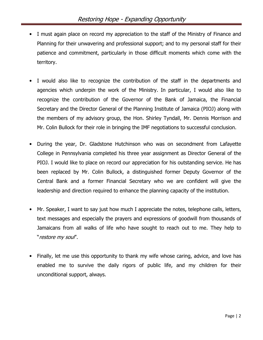- I must again place on record my appreciation to the staff of the Ministry of Finance and Planning for their unwavering and professional support; and to my personal staff for their patience and commitment, particularly in those difficult moments which come with the territory.
- I would also like to recognize the contribution of the staff in the departments and agencies which underpin the work of the Ministry. In particular, I would also like to recognize the contribution of the Governor of the Bank of Jamaica, the Financial Secretary and the Director General of the Planning Institute of Jamaica (PIOJ) along with the members of my advisory group, the Hon. Shirley Tyndall, Mr. Dennis Morrison and Mr. Colin Bullock for their role in bringing the IMF negotiations to successful conclusion.
- During the year, Dr. Gladstone Hutchinson who was on secondment from Lafayette College in Pennsylvania completed his three year assignment as Director General of the PIOJ. I would like to place on record our appreciation for his outstanding service. He has been replaced by Mr. Colin Bullock, a distinguished former Deputy Governor of the Central Bank and a former Financial Secretary who we are confident will give the leadership and direction required to enhance the planning capacity of the institution.
- Mr. Speaker, I want to say just how much I appreciate the notes, telephone calls, letters, text messages and especially the prayers and expressions of goodwill from thousands of Jamaicans from all walks of life who have sought to reach out to me. They help to "restore my soul".
- Finally, let me use this opportunity to thank my wife whose caring, advice, and love has enabled me to survive the daily rigors of public life, and my children for their unconditional support, always.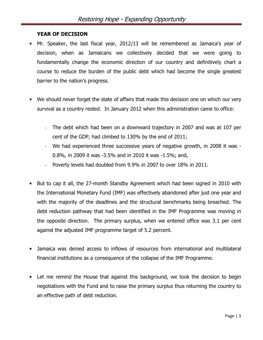#### YEAR OF DECISION

- Mr. Speaker, the last fiscal year, 2012/13 will be remembered as Jamaica's year of decision, when as Jamaicans we collectively decided that we were going to fundamentally change the economic direction of our country and definitively chart a course to reduce the burden of the public debt which had become the single greatest barrier to the nation's progress.
- We should never forget the state of affairs that made this decision one on which our very survival as a country rested. In January 2012 when this administration came to office:
	- The debt which had been on a downward trajectory in 2007 and was at 107 per cent of the GDP, had climbed to 130% by the end of 2011;
	- We had experienced three successive years of negative growth, in 2008 it was -0.8%, in 2009 it was -3.5% and in 2010 it was -1.5%; and,
	- Poverty levels had doubled from 9.9% in 2007 to over 18% in 2011.
- But to cap it all, the 27-month Standby Agreement which had been signed in 2010 with the International Monetary Fund (IMF) was effectively abandoned after just one year and with the majority of the deadlines and the structural benchmarks being breached. The debt reduction pathway that had been identified in the IMF Programme was moving in the opposite direction. The primary surplus, when we entered office was 3.1 per cent against the adjusted IMF programme target of 5.2 percent.
- Jamaica was denied access to inflows of resources from international and multilateral financial institutions as a consequence of the collapse of the IMF Programme.
- Let me remind the House that against this background, we took the decision to begin negotiations with the Fund and to raise the primary surplus thus returning the country to an effective path of debt reduction.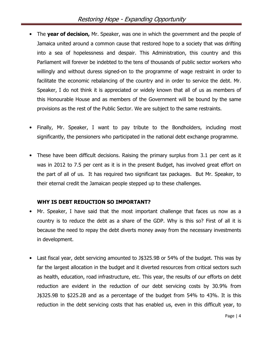- The year of decision, Mr. Speaker, was one in which the government and the people of Jamaica united around a common cause that restored hope to a society that was drifting into a sea of hopelessness and despair. This Administration, this country and this Parliament will forever be indebted to the tens of thousands of public sector workers who willingly and without duress signed-on to the programme of wage restraint in order to facilitate the economic rebalancing of the country and in order to service the debt. Mr. Speaker, I do not think it is appreciated or widely known that all of us as members of this Honourable House and as members of the Government will be bound by the same provisions as the rest of the Public Sector. We are subject to the same restraints.
- Finally, Mr. Speaker, I want to pay tribute to the Bondholders, including most significantly, the pensioners who participated in the national debt exchange programme.
- These have been difficult decisions. Raising the primary surplus from 3.1 per cent as it was in 2012 to 7.5 per cent as it is in the present Budget, has involved great effort on the part of all of us. It has required two significant tax packages. But Mr. Speaker, to their eternal credit the Jamaican people stepped up to these challenges.

#### WHY IS DEBT REDUCTION SO IMPORTANT?

- Mr. Speaker, I have said that the most important challenge that faces us now as a country is to reduce the debt as a share of the GDP. Why is this so? First of all it is because the need to repay the debt diverts money away from the necessary investments in development.
- Last fiscal year, debt servicing amounted to J\$325.9B or 54% of the budget. This was by far the largest allocation in the budget and it diverted resources from critical sectors such as health, education, road infrastructure, etc. This year, the results of our efforts on debt reduction are evident in the reduction of our debt servicing costs by 30.9% from J\$325.9B to \$225.2B and as a percentage of the budget from 54% to 43%. It is this reduction in the debt servicing costs that has enabled us, even in this difficult year, to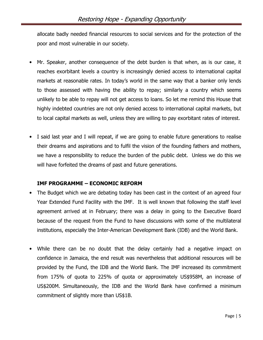allocate badly needed financial resources to social services and for the protection of the poor and most vulnerable in our society.

- Mr. Speaker, another consequence of the debt burden is that when, as is our case, it reaches exorbitant levels a country is increasingly denied access to international capital markets at reasonable rates. In today's world in the same way that a banker only lends to those assessed with having the ability to repay; similarly a country which seems unlikely to be able to repay will not get access to loans. So let me remind this House that highly indebted countries are not only denied access to international capital markets, but to local capital markets as well, unless they are willing to pay exorbitant rates of interest.
- I said last year and I will repeat, if we are going to enable future generations to realise their dreams and aspirations and to fulfil the vision of the founding fathers and mothers, we have a responsibility to reduce the burden of the public debt. Unless we do this we will have forfeited the dreams of past and future generations.

#### IMF PROGRAMME – ECONOMIC REFORM

- The Budget which we are debating today has been cast in the context of an agreed four Year Extended Fund Facility with the IMF. It is well known that following the staff level agreement arrived at in February; there was a delay in going to the Executive Board because of the request from the Fund to have discussions with some of the multilateral institutions, especially the Inter-American Development Bank (IDB) and the World Bank.
- While there can be no doubt that the delay certainly had a negative impact on confidence in Jamaica, the end result was nevertheless that additional resources will be provided by the Fund, the IDB and the World Bank. The IMF increased its commitment from 175% of quota to 225% of quota or approximately US\$958M, an increase of US\$200M. Simultaneously, the IDB and the World Bank have confirmed a minimum commitment of slightly more than US\$1B.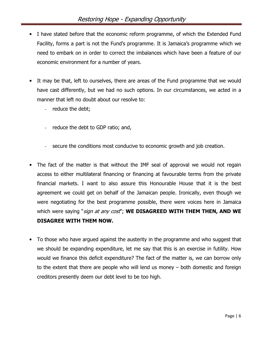- I have stated before that the economic reform programme, of which the Extended Fund Facility, forms a part is not the Fund's programme. It is Jamaica's programme which we need to embark on in order to correct the imbalances which have been a feature of our economic environment for a number of years.
- It may be that, left to ourselves, there are areas of the Fund programme that we would have cast differently, but we had no such options. In our circumstances, we acted in a manner that left no doubt about our resolve to:
	- reduce the debt;
	- reduce the debt to GDP ratio; and,
	- secure the conditions most conducive to economic growth and job creation.
- The fact of the matter is that without the IMF seal of approval we would not regain access to either multilateral financing or financing at favourable terms from the private financial markets. I want to also assure this Honourable House that it is the best agreement we could get on behalf of the Jamaican people. Ironically, even though we were negotiating for the best programme possible, there were voices here in Jamaica which were saying "sign at any cost"; WE DISAGREED WITH THEM THEN, AND WE DISAGREE WITH THEM NOW.
- To those who have argued against the austerity in the programme and who suggest that we should be expanding expenditure, let me say that this is an exercise in futility. How would we finance this deficit expenditure? The fact of the matter is, we can borrow only to the extent that there are people who will lend us money – both domestic and foreign creditors presently deem our debt level to be too high.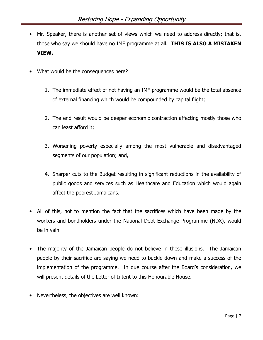- Mr. Speaker, there is another set of views which we need to address directly; that is, those who say we should have no IMF programme at all. THIS IS ALSO A MISTAKEN VIEW.
- What would be the consequences here?
	- 1. The immediate effect of not having an IMF programme would be the total absence of external financing which would be compounded by capital flight;
	- 2. The end result would be deeper economic contraction affecting mostly those who can least afford it;
	- 3. Worsening poverty especially among the most vulnerable and disadvantaged segments of our population; and,
	- 4. Sharper cuts to the Budget resulting in significant reductions in the availability of public goods and services such as Healthcare and Education which would again affect the poorest Jamaicans.
- All of this, not to mention the fact that the sacrifices which have been made by the workers and bondholders under the National Debt Exchange Programme (NDX), would be in vain.
- The majority of the Jamaican people do not believe in these illusions. The Jamaican people by their sacrifice are saying we need to buckle down and make a success of the implementation of the programme. In due course after the Board's consideration, we will present details of the Letter of Intent to this Honourable House.
- Nevertheless, the objectives are well known: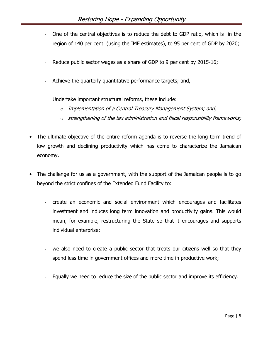- One of the central objectives is to reduce the debt to GDP ratio, which is in the region of 140 per cent (using the IMF estimates), to 95 per cent of GDP by 2020;
- Reduce public sector wages as a share of GDP to 9 per cent by 2015-16;
- Achieve the quarterly quantitative performance targets; and,
- Undertake important structural reforms, these include:
	- $\circ$  Implementation of a Central Treasury Management System; and,
	- $\circ$  strengthening of the tax administration and fiscal responsibility frameworks;
- The ultimate objective of the entire reform agenda is to reverse the long term trend of low growth and declining productivity which has come to characterize the Jamaican economy.
- The challenge for us as a government, with the support of the Jamaican people is to go beyond the strict confines of the Extended Fund Facility to:
	- create an economic and social environment which encourages and facilitates investment and induces long term innovation and productivity gains. This would mean, for example, restructuring the State so that it encourages and supports individual enterprise;
	- we also need to create a public sector that treats our citizens well so that they spend less time in government offices and more time in productive work;
	- Equally we need to reduce the size of the public sector and improve its efficiency.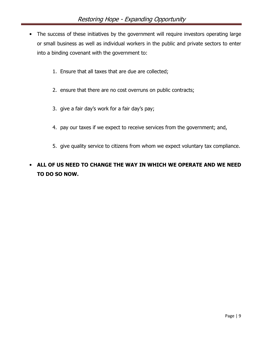- The success of these initiatives by the government will require investors operating large or small business as well as individual workers in the public and private sectors to enter into a binding covenant with the government to:
	- 1. Ensure that all taxes that are due are collected;
	- 2. ensure that there are no cost overruns on public contracts;
	- 3. give a fair day's work for a fair day's pay;
	- 4. pay our taxes if we expect to receive services from the government; and,
	- 5. give quality service to citizens from whom we expect voluntary tax compliance.

# • ALL OF US NEED TO CHANGE THE WAY IN WHICH WE OPERATE AND WE NEED TO DO SO NOW.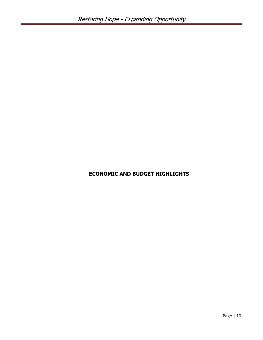### ECONOMIC AND BUDGET HIGHLIGHTS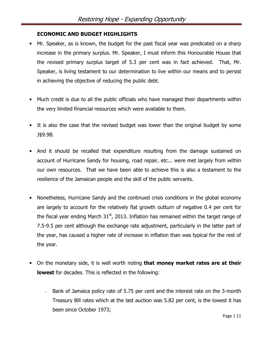#### ECONOMIC AND BUDGET HIGHLIGHTS

- Mr. Speaker, as is known, the budget for the past fiscal year was predicated on a sharp increase in the primary surplus. Mr. Speaker, I must inform this Honourable House that the revised primary surplus target of 5.3 per cent was in fact achieved. That, Mr. Speaker, is living testament to our determination to live within our means and to persist in achieving the objective of reducing the public debt.
- Much credit is due to all the public officials who have managed their departments within the very limited financial resources which were available to them.
- It is also the case that the revised budget was lower than the original budget by some J\$9.9B.
- And it should be recalled that expenditure resulting from the damage sustained on account of Hurricane Sandy for housing, road repair, etc... were met largely from within our own resources. That we have been able to achieve this is also a testament to the resilience of the Jamaican people and the skill of the public servants.
- Nonetheless, Hurricane Sandy and the continued crisis conditions in the global economy are largely to account for the relatively flat growth outturn of negative 0.4 per cent for the fiscal year ending March  $31<sup>st</sup>$ , 2013. Inflation has remained within the target range of 7.5-9.5 per cent although the exchange rate adjustment, particularly in the latter part of the year, has caused a higher rate of increase in inflation than was typical for the rest of the year.
- On the monetary side, it is well worth noting that money market rates are at their lowest for decades. This is reflected in the following:
	- Bank of Jamaica policy rate of 5.75 per cent and the interest rate on the 3-month Treasury Bill rates which at the last auction was 5.82 per cent, is the lowest it has been since October 1973;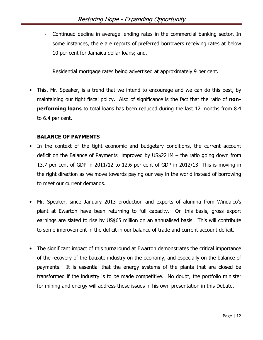- Continued decline in average lending rates in the commercial banking sector. In some instances, there are reports of preferred borrowers receiving rates at below 10 per cent for Jamaica dollar loans; and,
- Residential mortgage rates being advertised at approximately 9 per cent.
- This, Mr. Speaker, is a trend that we intend to encourage and we can do this best, by maintaining our tight fiscal policy. Also of significance is the fact that the ratio of **nonperforming loans** to total loans has been reduced during the last 12 months from 8.4 to 6.4 per cent.

#### BALANCE OF PAYMENTS

- In the context of the tight economic and budgetary conditions, the current account deficit on the Balance of Payments improved by US\$221M – the ratio going down from 13.7 per cent of GDP in 2011/12 to 12.6 per cent of GDP in 2012/13. This is moving in the right direction as we move towards paying our way in the world instead of borrowing to meet our current demands.
- Mr. Speaker, since January 2013 production and exports of alumina from Windalco's plant at Ewarton have been returning to full capacity. On this basis, gross export earnings are slated to rise by US\$65 million on an annualised basis. This will contribute to some improvement in the deficit in our balance of trade and current account deficit.
- The significant impact of this turnaround at Ewarton demonstrates the critical importance of the recovery of the bauxite industry on the economy, and especially on the balance of payments. It is essential that the energy systems of the plants that are closed be transformed if the industry is to be made competitive. No doubt, the portfolio minister for mining and energy will address these issues in his own presentation in this Debate.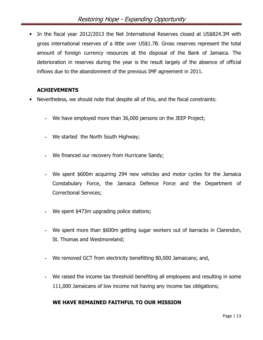• In the fiscal year 2012/2013 the Net International Reserves closed at US\$824.3M with gross international reserves of a little over US\$1.7B. Gross reserves represent the total amount of foreign currency resources at the disposal of the Bank of Jamaica. The deterioration in reserves during the year is the result largely of the absence of official inflows due to the abandonment of the previous IMF agreement in 2011.

#### ACHIEVEMENTS

- Nevertheless, we should note that despite all of this, and the fiscal constraints:
	- **-** We have employed more than 36,000 persons on the JEEP Project;
	- **-** We started the North South Highway;
	- **-** We financed our recovery from Hurricane Sandy;
	- **-** We spent \$600m acquiring 294 new vehicles and motor cycles for the Jamaica Constabulary Force, the Jamaica Defence Force and the Department of Correctional Services;
	- **-** We spent \$473m upgrading police stations;
	- **-** We spent more than \$600m getting sugar workers out of barracks in Clarendon, St. Thomas and Westmoreland;
	- **-** We removed GCT from electricity benefitting 80,000 Jamaicans; and,
	- **-** We raised the income tax threshold benefiting all employees and resulting in some 111,000 Jamaicans of low income not having any income tax obligations;

#### WE HAVE REMAINED FAITHFUL TO OUR MISSION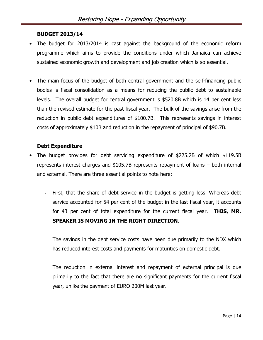#### BUDGET 2013/14

- The budget for 2013/2014 is cast against the background of the economic reform programme which aims to provide the conditions under which Jamaica can achieve sustained economic growth and development and job creation which is so essential.
- The main focus of the budget of both central government and the self-financing public bodies is fiscal consolidation as a means for reducing the public debt to sustainable levels. The overall budget for central government is \$520.8B which is 14 per cent less than the revised estimate for the past fiscal year. The bulk of the savings arise from the reduction in public debt expenditures of \$100.7B. This represents savings in interest costs of approximately \$10B and reduction in the repayment of principal of \$90.7B.

#### Debt Expenditure

- The budget provides for debt servicing expenditure of \$225.2B of which \$119.5B represents interest charges and \$105.7B represents repayment of loans – both internal and external. There are three essential points to note here:
	- First, that the share of debt service in the budget is getting less. Whereas debt service accounted for 54 per cent of the budget in the last fiscal year, it accounts for 43 per cent of total expenditure for the current fiscal year. **THIS, MR.** SPEAKER IS MOVING IN THE RIGHT DIRECTION.
	- The savings in the debt service costs have been due primarily to the NDX which has reduced interest costs and payments for maturities on domestic debt.
	- The reduction in external interest and repayment of external principal is due primarily to the fact that there are no significant payments for the current fiscal year, unlike the payment of EURO 200M last year.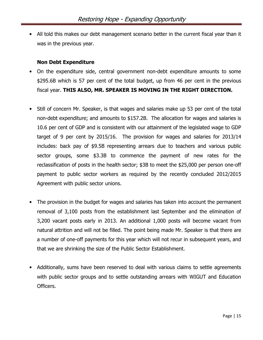• All told this makes our debt management scenario better in the current fiscal year than it was in the previous year.

#### Non Debt Expenditure

- On the expenditure side, central government non-debt expenditure amounts to some \$295.6B which is 57 per cent of the total budget, up from 46 per cent in the previous fiscal year. THIS ALSO, MR. SPEAKER IS MOVING IN THE RIGHT DIRECTION.
- Still of concern Mr. Speaker, is that wages and salaries make up 53 per cent of the total non-debt expenditure; and amounts to \$157.2B. The allocation for wages and salaries is 10.6 per cent of GDP and is consistent with our attainment of the legislated wage to GDP target of 9 per cent by 2015/16. The provision for wages and salaries for 2013/14 includes: back pay of \$9.5B representing arrears due to teachers and various public sector groups, some \$3.3B to commence the payment of new rates for the reclassification of posts in the health sector; \$3B to meet the \$25,000 per person one-off payment to public sector workers as required by the recently concluded 2012/2015 Agreement with public sector unions.
- The provision in the budget for wages and salaries has taken into account the permanent removal of 3,100 posts from the establishment last September and the elimination of 3,200 vacant posts early in 2013. An additional 1,000 posts will become vacant from natural attrition and will not be filled. The point being made Mr. Speaker is that there are a number of one-off payments for this year which will not recur in subsequent years, and that we are shrinking the size of the Public Sector Establishment.
- Additionally, sums have been reserved to deal with various claims to settle agreements with public sector groups and to settle outstanding arrears with WIGUT and Education Officers.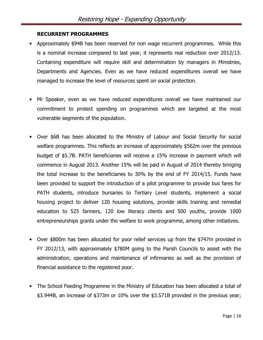#### RECURRENT PROGRAMMES

- Approximately \$94B has been reserved for non wage recurrent programmes. While this is a nominal increase compared to last year, it represents real reduction over 2012/13. Containing expenditure will require skill and determination by managers in Ministries, Departments and Agencies. Even as we have reduced expenditures overall we have managed to increase the level of resources spent on social protection.
- Mr Speaker, even as we have reduced expenditures overall we have maintained our commitment to protect spending on programmes which are targeted at the most vulnerable segments of the population.
- Over \$6B has been allocated to the Ministry of Labour and Social Security for social welfare programmes. This reflects an increase of approximately \$562m over the previous budget of \$5.7B. PATH beneficiaries will receive a 15% increase in payment which will commence in August 2013. Another 15% will be paid in August of 2014 thereby bringing the total increase to the beneficiaries to 30% by the end of FY 2014/15. Funds have been provided to support the introduction of a pilot programme to provide bus fares for PATH students, introduce bursaries to Tertiary Level students, implement a social housing project to deliver 120 housing solutions, provide skills training and remedial education to 525 farmers, 120 low literacy clients and 500 youths, provide 1000 entrepreneurships grants under the welfare to work programme, among other initiatives.
- Over \$800m has been allocated for poor relief services up from the \$747m provided in FY 2012/13, with approximately \$780M going to the Parish Councils to assist with the administration, operations and maintenance of infirmaries as well as the provision of financial assistance to the registered poor.
- The School Feeding Programme in the Ministry of Education has been allocated a total of \$3.944B, an increase of \$373m or 10% over the \$3.571B provided in the previous year;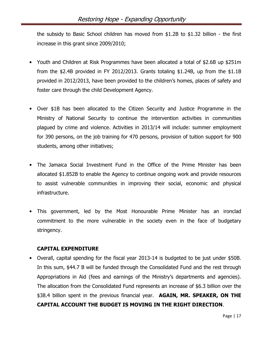the subsidy to Basic School children has moved from \$1.2B to \$1.32 billion - the first increase in this grant since 2009/2010;

- Youth and Children at Risk Programmes have been allocated a total of \$2.6B up \$251m from the \$2.4B provided in FY 2012/2013. Grants totaling \$1.24B, up from the \$1.1B provided in 2012/2013, have been provided to the children's homes, places of safety and foster care through the child Development Agency.
- Over \$1B has been allocated to the Citizen Security and Justice Programme in the Ministry of National Security to continue the intervention activities in communities plagued by crime and violence. Activities in 2013/14 will include: summer employment for 390 persons, on the job training for 470 persons, provision of tuition support for 900 students, among other initiatives;
- The Jamaica Social Investment Fund in the Office of the Prime Minister has been allocated \$1.852B to enable the Agency to continue ongoing work and provide resources to assist vulnerable communities in improving their social, economic and physical infrastructure.
- This government, led by the Most Honourable Prime Minister has an ironclad commitment to the more vulnerable in the society even in the face of budgetary stringency.

#### CAPITAL EXPENDITURE

• Overall, capital spending for the fiscal year 2013-14 is budgeted to be just under \$50B. In this sum, \$44.7 B will be funded through the Consolidated Fund and the rest through Appropriations in Aid (fees and earnings of the Ministry's departments and agencies). The allocation from the Consolidated Fund represents an increase of \$6.3 billion over the \$38.4 billion spent in the previous financial year. **AGAIN, MR. SPEAKER, ON THE** CAPITAL ACCOUNT THE BUDGET IS MOVING IN THE RIGHT DIRECTION.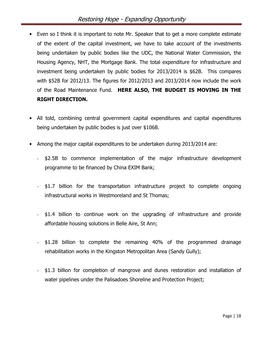- Even so I think it is important to note Mr. Speaker that to get a more complete estimate of the extent of the capital investment, we have to take account of the investments being undertaken by public bodies like the UDC, the National Water Commission, the Housing Agency, NHT, the Mortgage Bank. The total expenditure for infrastructure and investment being undertaken by public bodies for 2013/2014 is \$62B. This compares with \$52B for 2012/13. The figures for 2012/2013 and 2013/2014 now include the work of the Road Maintenance Fund. HERE ALSO, THE BUDGET IS MOVING IN THE RIGHT DIRECTION.
- All told, combining central government capital expenditures and capital expenditures being undertaken by public bodies is just over \$106B.
- Among the major capital expenditures to be undertaken during 2013/2014 are:
	- \$2.5B to commence implementation of the major infrastructure development programme to be financed by China EXIM Bank;
	- \$1.7 billion for the transportation infrastructure project to complete ongoing infrastructural works in Westmoreland and St Thomas;
	- \$1.4 billion to continue work on the upgrading of infrastructure and provide affordable housing solutions in Belle Aire, St Ann;
	- \$1.28 billion to complete the remaining 40% of the programmed drainage rehabilitation works in the Kingston Metropolitan Area (Sandy Gully);
	- \$1.3 billion for completion of mangrove and dunes restoration and installation of water pipelines under the Palisadoes Shoreline and Protection Project;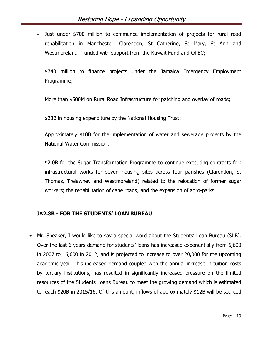- Just under \$700 million to commence implementation of projects for rural road rehabilitation in Manchester, Clarendon, St Catherine, St Mary, St Ann and Westmoreland - funded with support from the Kuwait Fund and OPEC;
- \$740 million to finance projects under the Jamaica Emergency Employment Programme;
- More than \$500M on Rural Road Infrastructure for patching and overlay of roads;
- \$23B in housing expenditure by the National Housing Trust;
- Approximately \$10B for the implementation of water and sewerage projects by the National Water Commission.
- \$2.0B for the Sugar Transformation Programme to continue executing contracts for: infrastructural works for seven housing sites across four parishes (Clarendon, St Thomas, Trelawney and Westmoreland) related to the relocation of former sugar workers; the rehabilitation of cane roads; and the expansion of agro-parks.

#### J\$2.8B - FOR THE STUDENTS' LOAN BUREAU

• Mr. Speaker, I would like to say a special word about the Students' Loan Bureau (SLB). Over the last 6 years demand for students' loans has increased exponentially from 6,600 in 2007 to 16,600 in 2012, and is projected to increase to over 20,000 for the upcoming academic year. This increased demand coupled with the annual increase in tuition costs by tertiary institutions, has resulted in significantly increased pressure on the limited resources of the Students Loans Bureau to meet the growing demand which is estimated to reach \$20B in 2015/16. Of this amount, inflows of approximately \$12B will be sourced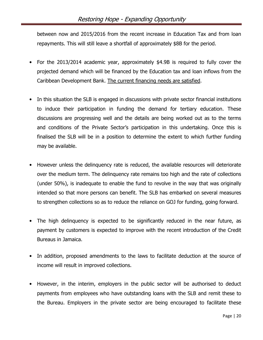between now and 2015/2016 from the recent increase in Education Tax and from loan repayments. This will still leave a shortfall of approximately \$8B for the period.

- For the 2013/2014 academic year, approximately \$4.9B is required to fully cover the projected demand which will be financed by the Education tax and loan inflows from the Caribbean Development Bank. The current financing needs are satisfied.
- In this situation the SLB is engaged in discussions with private sector financial institutions to induce their participation in funding the demand for tertiary education. These discussions are progressing well and the details are being worked out as to the terms and conditions of the Private Sector's participation in this undertaking. Once this is finalised the SLB will be in a position to determine the extent to which further funding may be available.
- However unless the delinquency rate is reduced, the available resources will deteriorate over the medium term. The delinquency rate remains too high and the rate of collections (under 50%), is inadequate to enable the fund to revolve in the way that was originally intended so that more persons can benefit. The SLB has embarked on several measures to strengthen collections so as to reduce the reliance on GOJ for funding, going forward.
- The high delinguency is expected to be significantly reduced in the near future, as payment by customers is expected to improve with the recent introduction of the Credit Bureaus in Jamaica.
- In addition, proposed amendments to the laws to facilitate deduction at the source of income will result in improved collections.
- However, in the interim, employers in the public sector will be authorised to deduct payments from employees who have outstanding loans with the SLB and remit these to the Bureau. Employers in the private sector are being encouraged to facilitate these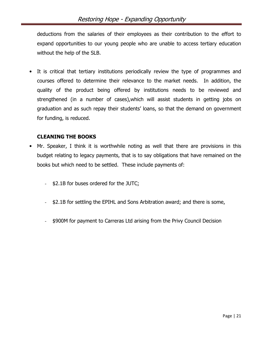deductions from the salaries of their employees as their contribution to the effort to expand opportunities to our young people who are unable to access tertiary education without the help of the SLB.

• It is critical that tertiary institutions periodically review the type of programmes and courses offered to determine their relevance to the market needs. In addition, the quality of the product being offered by institutions needs to be reviewed and strengthened (in a number of cases),which will assist students in getting jobs on graduation and as such repay their students' loans, so that the demand on government for funding, is reduced.

#### CLEANING THE BOOKS

- Mr. Speaker, I think it is worthwhile noting as well that there are provisions in this budget relating to legacy payments, that is to say obligations that have remained on the books but which need to be settled. These include payments of:
	- \$2.1B for buses ordered for the JUTC;
	- \$2.1B for settling the EPIHL and Sons Arbitration award; and there is some,
	- \$900M for payment to Carreras Ltd arising from the Privy Council Decision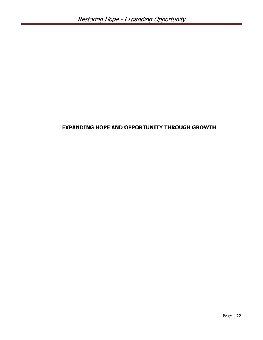#### EXPANDING HOPE AND OPPORTUNITY THROUGH GROWTH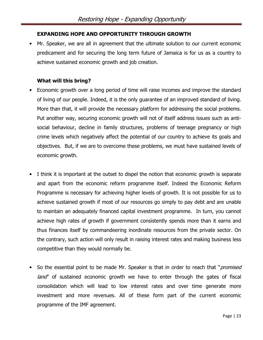#### EXPANDING HOPE AND OPPORTUNITY THROUGH GROWTH

• Mr. Speaker, we are all in agreement that the ultimate solution to our current economic predicament and for securing the long term future of Jamaica is for us as a country to achieve sustained economic growth and job creation.

#### What will this bring?

- Economic growth over a long period of time will raise incomes and improve the standard of living of our people. Indeed, it is the only guarantee of an improved standard of living. More than that, it will provide the necessary platform for addressing the social problems. Put another way, securing economic growth will not of itself address issues such as antisocial behaviour, decline in family structures, problems of teenage pregnancy or high crime levels which negatively affect the potential of our country to achieve its goals and objectives. But, if we are to overcome these problems, we must have sustained levels of economic growth.
- I think it is important at the outset to dispel the notion that economic growth is separate and apart from the economic reform programme itself. Indeed the Economic Reform Programme is necessary for achieving higher levels of growth. It is not possible for us to achieve sustained growth if most of our resources go simply to pay debt and are unable to maintain an adequately financed capital investment programme. In turn, you cannot achieve high rates of growth if government consistently spends more than it earns and thus finances itself by commandeering inordinate resources from the private sector. On the contrary, such action will only result in raising interest rates and making business less competitive than they would normally be.
- So the essential point to be made Mr. Speaker is that in order to reach that "*promised* land" of sustained economic growth we have to enter through the gates of fiscal consolidation which will lead to low interest rates and over time generate more investment and more revenues. All of these form part of the current economic programme of the IMF agreement.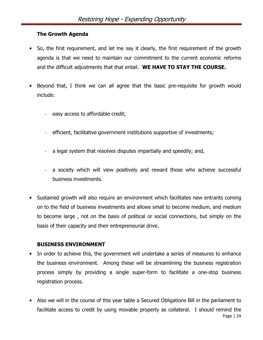#### The Growth Agenda

- So, the first requirement, and let me say it clearly, the first requirement of the growth agenda is that we need to maintain our commitment to the current economic reforms and the difficult adjustments that that entail. WE HAVE TO STAY THE COURSE.
- Beyond that, I think we can all agree that the basic pre-requisite for growth would include:
	- easy access to affordable credit;
	- efficient, facilitative government institutions supportive of investments;
	- a legal system that resolves disputes impartially and speedily; and,
	- a society which will view positively and reward those who achieve successful business investments.
- Sustained growth will also require an environment which facilitates new entrants coming on to the field of business investments and allows small to become medium, and medium to become large , not on the basis of political or social connections, but simply on the basis of their capacity and their entrepreneurial drive.

#### BUSINESS ENVIRONMENT

- In order to achieve this, the government will undertake a series of measures to enhance the business environment. Among these will be streamlining the business registration process simply by providing a single super-form to facilitate a one-stop business registration process.
- Page | 24 • Also we will in the course of this year table a Secured Obligations Bill in the parliament to facilitate access to credit by using movable property as collateral. I should remind the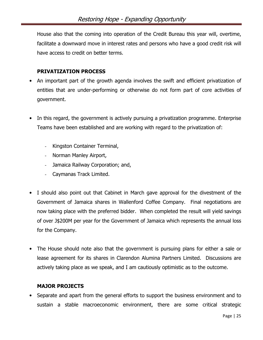House also that the coming into operation of the Credit Bureau this year will, overtime, facilitate a downward move in interest rates and persons who have a good credit risk will have access to credit on better terms.

#### PRIVATIZATION PROCESS

- An important part of the growth agenda involves the swift and efficient privatization of entities that are under-performing or otherwise do not form part of core activities of government.
- In this regard, the government is actively pursuing a privatization programme. Enterprise Teams have been established and are working with regard to the privatization of:
	- Kingston Container Terminal,
	- Norman Manley Airport,
	- Jamaica Railway Corporation; and,
	- Caymanas Track Limited.
- I should also point out that Cabinet in March gave approval for the divestment of the Government of Jamaica shares in Wallenford Coffee Company. Final negotiations are now taking place with the preferred bidder. When completed the result will yield savings of over J\$200M per year for the Government of Jamaica which represents the annual loss for the Company.
- The House should note also that the government is pursuing plans for either a sale or lease agreement for its shares in Clarendon Alumina Partners Limited. Discussions are actively taking place as we speak, and I am cautiously optimistic as to the outcome.

#### MAJOR PROJECTS

• Separate and apart from the general efforts to support the business environment and to sustain a stable macroeconomic environment, there are some critical strategic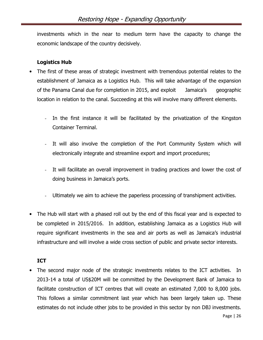investments which in the near to medium term have the capacity to change the economic landscape of the country decisively.

#### Logistics Hub

- The first of these areas of strategic investment with tremendous potential relates to the establishment of Jamaica as a Logistics Hub. This will take advantage of the expansion of the Panama Canal due for completion in 2015, and exploit Jamaica's geographic location in relation to the canal. Succeeding at this will involve many different elements.
	- In the first instance it will be facilitated by the privatization of the Kingston Container Terminal.
	- It will also involve the completion of the Port Community System which will electronically integrate and streamline export and import procedures;
	- It will facilitate an overall improvement in trading practices and lower the cost of doing business in Jamaica's ports.
	- Ultimately we aim to achieve the paperless processing of transhipment activities.
- The Hub will start with a phased roll out by the end of this fiscal year and is expected to be completed in 2015/2016. In addition, establishing Jamaica as a Logistics Hub will require significant investments in the sea and air ports as well as Jamaica's industrial infrastructure and will involve a wide cross section of public and private sector interests.

#### ICT

• The second major node of the strategic investments relates to the ICT activities. In 2013-14 a total of US\$20M will be committed by the Development Bank of Jamaica to facilitate construction of ICT centres that will create an estimated 7,000 to 8,000 jobs. This follows a similar commitment last year which has been largely taken up. These estimates do not include other jobs to be provided in this sector by non DBJ investments.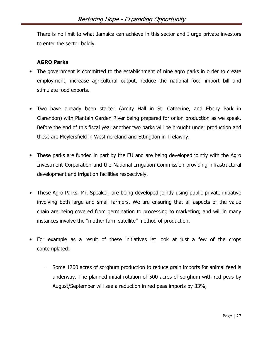There is no limit to what Jamaica can achieve in this sector and I urge private investors to enter the sector boldly.

#### AGRO Parks

- The government is committed to the establishment of nine agro parks in order to create employment, increase agricultural output, reduce the national food import bill and stimulate food exports.
- Two have already been started (Amity Hall in St. Catherine, and Ebony Park in Clarendon) with Plantain Garden River being prepared for onion production as we speak. Before the end of this fiscal year another two parks will be brought under production and these are Meylersfield in Westmoreland and Ettingdon in Trelawny.
- These parks are funded in part by the EU and are being developed jointly with the Agro Investment Corporation and the National Irrigation Commission providing infrastructural development and irrigation facilities respectively.
- These Agro Parks, Mr. Speaker, are being developed jointly using public private initiative involving both large and small farmers. We are ensuring that all aspects of the value chain are being covered from germination to processing to marketing; and will in many instances involve the "mother farm satellite" method of production.
- For example as a result of these initiatives let look at just a few of the crops contemplated:
	- Some 1700 acres of sorghum production to reduce grain imports for animal feed is underway. The planned initial rotation of 500 acres of sorghum with red peas by August/September will see a reduction in red peas imports by 33%;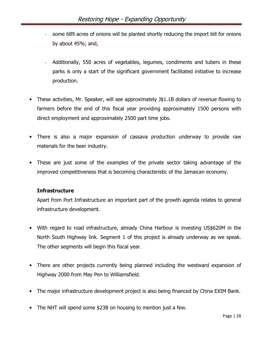- some 689 acres of onions will be planted shortly reducing the import bill for onions by about 45%; and,
- Additionally, 550 acres of vegetables, legumes, condiments and tubers in these parks is only a start of the significant government facilitated initiative to increase production.
- These activities, Mr. Speaker, will see approximately J\$1.1B dollars of revenue flowing to farmers before the end of this fiscal year providing approximately 1500 persons with direct employment and approximately 2500 part time jobs.
- There is also a major expansion of cassava production underway to provide raw materials for the beer industry.
- These are just some of the examples of the private sector taking advantage of the improved competitiveness that is becoming characteristic of the Jamaican economy.

#### Infrastructure

Apart from Port Infrastructure an important part of the growth agenda relates to general infrastructure development.

- With regard to road infrastructure, already China Harbour is investing US\$620M in the North South Highway link. Segment 1 of this project is already underway as we speak. The other segments will begin this fiscal year.
- There are other projects currently being planned including the westward expansion of Highway 2000 from May Pen to Williamsfield.
- The major infrastructure development project is also being financed by China EXIM Bank.
- The NHT will spend some \$23B on housing to mention just a few.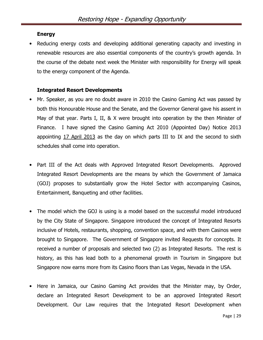#### Energy

Reducing energy costs and developing additional generating capacity and investing in renewable resources are also essential components of the country's growth agenda. In the course of the debate next week the Minister with responsibility for Energy will speak to the energy component of the Agenda.

#### Integrated Resort Developments

- Mr. Speaker, as you are no doubt aware in 2010 the Casino Gaming Act was passed by both this Honourable House and the Senate, and the Governor General gave his assent in May of that year. Parts I, II, & X were brought into operation by the then Minister of Finance. I have signed the Casino Gaming Act 2010 (Appointed Day) Notice 2013 appointing 17 April 2013 as the day on which parts III to IX and the second to sixth schedules shall come into operation.
- Part III of the Act deals with Approved Integrated Resort Developments. Approved Integrated Resort Developments are the means by which the Government of Jamaica (GOJ) proposes to substantially grow the Hotel Sector with accompanying Casinos, Entertainment, Banqueting and other facilities.
- The model which the GOJ is using is a model based on the successful model introduced by the City State of Singapore. Singapore introduced the concept of Integrated Resorts inclusive of Hotels, restaurants, shopping, convention space, and with them Casinos were brought to Singapore. The Government of Singapore invited Requests for concepts. It received a number of proposals and selected two (2) as Integrated Resorts. The rest is history, as this has lead both to a phenomenal growth in Tourism in Singapore but Singapore now earns more from its Casino floors than Las Vegas, Nevada in the USA.
- Here in Jamaica, our Casino Gaming Act provides that the Minister may, by Order, declare an Integrated Resort Development to be an approved Integrated Resort Development. Our Law requires that the Integrated Resort Development when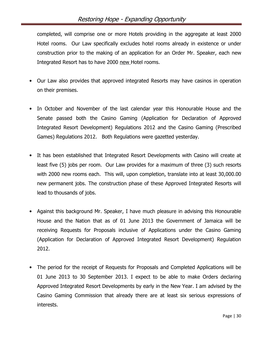completed, will comprise one or more Hotels providing in the aggregate at least 2000 Hotel rooms. Our Law specifically excludes hotel rooms already in existence or under construction prior to the making of an application for an Order Mr. Speaker, each new Integrated Resort has to have 2000 new Hotel rooms.

- Our Law also provides that approved integrated Resorts may have casinos in operation on their premises.
- In October and November of the last calendar year this Honourable House and the Senate passed both the Casino Gaming (Application for Declaration of Approved Integrated Resort Development) Regulations 2012 and the Casino Gaming (Prescribed Games) Regulations 2012. Both Regulations were gazetted yesterday.
- It has been established that Integrated Resort Developments with Casino will create at least five (5) jobs per room. Our Law provides for a maximum of three (3) such resorts with 2000 new rooms each. This will, upon completion, translate into at least 30,000.00 new permanent jobs. The construction phase of these Approved Integrated Resorts will lead to thousands of jobs.
- Against this background Mr. Speaker, I have much pleasure in advising this Honourable House and the Nation that as of 01 June 2013 the Government of Jamaica will be receiving Requests for Proposals inclusive of Applications under the Casino Gaming (Application for Declaration of Approved Integrated Resort Development) Regulation 2012.
- The period for the receipt of Requests for Proposals and Completed Applications will be 01 June 2013 to 30 September 2013. I expect to be able to make Orders declaring Approved Integrated Resort Developments by early in the New Year. I am advised by the Casino Gaming Commission that already there are at least six serious expressions of interests.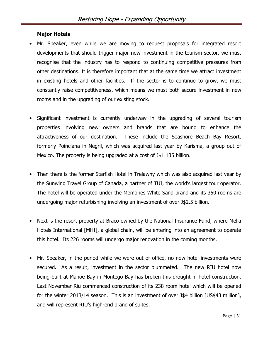#### Major Hotels

- Mr. Speaker, even while we are moving to request proposals for integrated resort developments that should trigger major new investment in the tourism sector, we must recognise that the industry has to respond to continuing competitive pressures from other destinations. It is therefore important that at the same time we attract investment in existing hotels and other facilities. If the sector is to continue to grow, we must constantly raise competitiveness, which means we must both secure investment in new rooms and in the upgrading of our existing stock.
- Significant investment is currently underway in the upgrading of several tourism properties involving new owners and brands that are bound to enhance the attractiveness of our destination. These include the Seashore Beach Bay Resort, formerly Poinciana in Negril, which was acquired last year by Karisma, a group out of Mexico. The property is being upgraded at a cost of J\$1.135 billion.
- Then there is the former Starfish Hotel in Trelawny which was also acquired last year by the Sunwing Travel Group of Canada, a partner of TUI, the world's largest tour operator. The hotel will be operated under the Memories White Sand brand and its 350 rooms are undergoing major refurbishing involving an investment of over J\$2.5 billion.
- Next is the resort property at Braco owned by the National Insurance Fund, where Melia Hotels International [MHI], a global chain, will be entering into an agreement to operate this hotel. Its 226 rooms will undergo major renovation in the coming months.
- Mr. Speaker, in the period while we were out of office, no new hotel investments were secured. As a result, investment in the sector plummeted. The new RIU hotel now being built at Mahoe Bay in Montego Bay has broken this drought in hotel construction. Last November Riu commenced construction of its 238 room hotel which will be opened for the winter 2013/14 season. This is an investment of over J\$4 billion [US\$43 million], and will represent RIU's high-end brand of suites.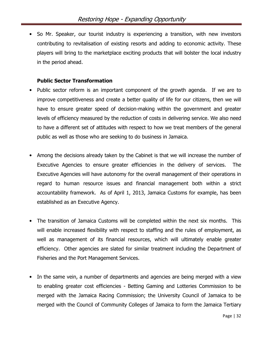• So Mr. Speaker, our tourist industry is experiencing a transition, with new investors contributing to revitalisation of existing resorts and adding to economic activity. These players will bring to the marketplace exciting products that will bolster the local industry in the period ahead.

#### Public Sector Transformation

- Public sector reform is an important component of the growth agenda. If we are to improve competitiveness and create a better quality of life for our citizens, then we will have to ensure greater speed of decision-making within the government and greater levels of efficiency measured by the reduction of costs in delivering service. We also need to have a different set of attitudes with respect to how we treat members of the general public as well as those who are seeking to do business in Jamaica.
- Among the decisions already taken by the Cabinet is that we will increase the number of Executive Agencies to ensure greater efficiencies in the delivery of services. The Executive Agencies will have autonomy for the overall management of their operations in regard to human resource issues and financial management both within a strict accountability framework. As of April 1, 2013, Jamaica Customs for example, has been established as an Executive Agency.
- The transition of Jamaica Customs will be completed within the next six months. This will enable increased flexibility with respect to staffing and the rules of employment, as well as management of its financial resources, which will ultimately enable greater efficiency. Other agencies are slated for similar treatment including the Department of Fisheries and the Port Management Services.
- In the same vein, a number of departments and agencies are being merged with a view to enabling greater cost efficiencies - Betting Gaming and Lotteries Commission to be merged with the Jamaica Racing Commission; the University Council of Jamaica to be merged with the Council of Community Colleges of Jamaica to form the Jamaica Tertiary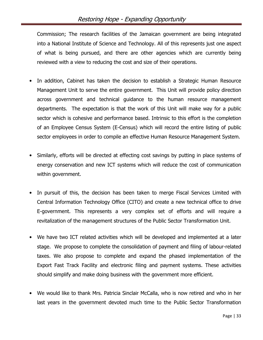Commission; The research facilities of the Jamaican government are being integrated into a National Institute of Science and Technology. All of this represents just one aspect of what is being pursued, and there are other agencies which are currently being reviewed with a view to reducing the cost and size of their operations.

- In addition, Cabinet has taken the decision to establish a Strategic Human Resource Management Unit to serve the entire government. This Unit will provide policy direction across government and technical guidance to the human resource management departments. The expectation is that the work of this Unit will make way for a public sector which is cohesive and performance based. Intrinsic to this effort is the completion of an Employee Census System (E-Census) which will record the entire listing of public sector employees in order to compile an effective Human Resource Management System.
- Similarly, efforts will be directed at effecting cost savings by putting in place systems of energy conservation and new ICT systems which will reduce the cost of communication within government.
- In pursuit of this, the decision has been taken to merge Fiscal Services Limited with Central Information Technology Office (CITO) and create a new technical office to drive E-government. This represents a very complex set of efforts and will require a revitalization of the management structures of the Public Sector Transformation Unit.
- We have two ICT related activities which will be developed and implemented at a later stage. We propose to complete the consolidation of payment and filing of labour-related taxes. We also propose to complete and expand the phased implementation of the Export Fast Track Facility and electronic filing and payment systems. These activities should simplify and make doing business with the government more efficient.
- We would like to thank Mrs. Patricia Sinclair McCalla, who is now retired and who in her last years in the government devoted much time to the Public Sector Transformation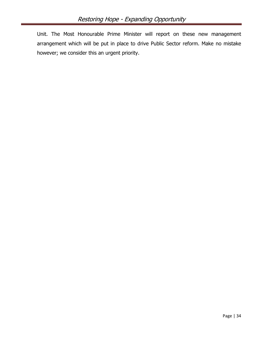Unit. The Most Honourable Prime Minister will report on these new management arrangement which will be put in place to drive Public Sector reform. Make no mistake however; we consider this an urgent priority.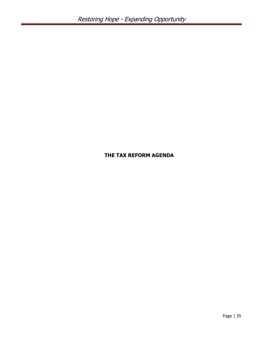#### THE TAX REFORM AGENDA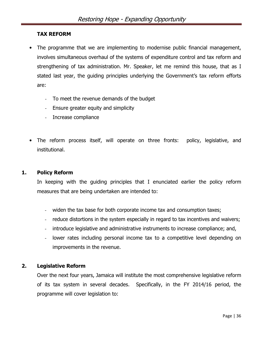#### TAX REFORM

- The programme that we are implementing to modernise public financial management, involves simultaneous overhaul of the systems of expenditure control and tax reform and strengthening of tax administration. Mr. Speaker, let me remind this house, that as I stated last year, the guiding principles underlying the Government's tax reform efforts are:
	- To meet the revenue demands of the budget
	- Ensure greater equity and simplicity
	- Increase compliance
- The reform process itself, will operate on three fronts: policy, legislative, and institutional.

#### 1. Policy Reform

In keeping with the guiding principles that I enunciated earlier the policy reform measures that are being undertaken are intended to:

- widen the tax base for both corporate income tax and consumption taxes;
- reduce distortions in the system especially in regard to tax incentives and waivers;
- introduce legislative and administrative instruments to increase compliance; and,
- lower rates including personal income tax to a competitive level depending on improvements in the revenue.

#### 2. Legislative Reform

Over the next four years, Jamaica will institute the most comprehensive legislative reform of its tax system in several decades. Specifically, in the FY 2014/16 period, the programme will cover legislation to: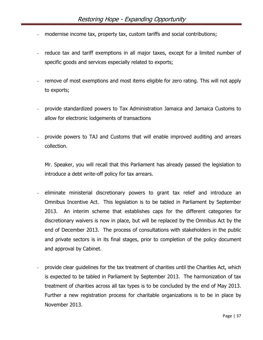- modernise income tax, property tax, custom tariffs and social contributions;
- reduce tax and tariff exemptions in all major taxes, except for a limited number of specific goods and services especially related to exports;
- remove of most exemptions and most items eligible for zero rating. This will not apply to exports;
- provide standardized powers to Tax Administration Jamaica and Jamaica Customs to allow for electronic lodgements of transactions
- provide powers to TAJ and Customs that will enable improved auditing and arrears collection.

Mr. Speaker, you will recall that this Parliament has already passed the legislation to introduce a debt write-off policy for tax arrears.

- eliminate ministerial discretionary powers to grant tax relief and introduce an Omnibus Incentive Act. This legislation is to be tabled in Parliament by September 2013. An interim scheme that establishes caps for the different categories for discretionary waivers is now in place, but will be replaced by the Omnibus Act by the end of December 2013. The process of consultations with stakeholders in the public and private sectors is in its final stages, prior to completion of the policy document and approval by Cabinet.
- provide clear quidelines for the tax treatment of charities until the Charities Act, which is expected to be tabled in Parliament by September 2013. The harmonization of tax treatment of charities across all tax types is to be concluded by the end of May 2013. Further a new registration process for charitable organizations is to be in place by November 2013.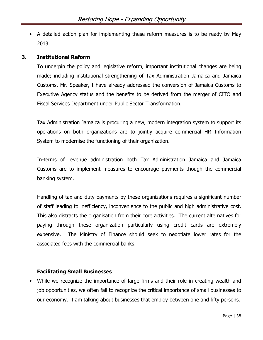• A detailed action plan for implementing these reform measures is to be ready by May 2013.

#### 3. Institutional Reform

To underpin the policy and legislative reform, important institutional changes are being made; including institutional strengthening of Tax Administration Jamaica and Jamaica Customs. Mr. Speaker, I have already addressed the conversion of Jamaica Customs to Executive Agency status and the benefits to be derived from the merger of CITO and Fiscal Services Department under Public Sector Transformation.

Tax Administration Jamaica is procuring a new, modern integration system to support its operations on both organizations are to jointly acquire commercial HR Information System to modernise the functioning of their organization.

In-terms of revenue administration both Tax Administration Jamaica and Jamaica Customs are to implement measures to encourage payments though the commercial banking system.

Handling of tax and duty payments by these organizations requires a significant number of staff leading to inefficiency, inconvenience to the public and high administrative cost. This also distracts the organisation from their core activities. The current alternatives for paying through these organization particularly using credit cards are extremely expensive. The Ministry of Finance should seek to negotiate lower rates for the associated fees with the commercial banks.

#### Facilitating Small Businesses

• While we recognize the importance of large firms and their role in creating wealth and job opportunities, we often fail to recognize the critical importance of small businesses to our economy. I am talking about businesses that employ between one and fifty persons.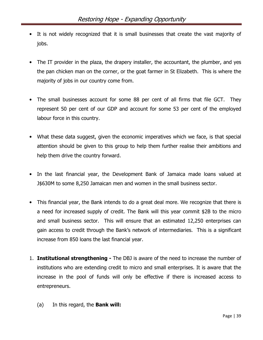- It is not widely recognized that it is small businesses that create the vast majority of jobs.
- The IT provider in the plaza, the drapery installer, the accountant, the plumber, and yes the pan chicken man on the corner, or the goat farmer in St Elizabeth. This is where the majority of jobs in our country come from.
- The small businesses account for some 88 per cent of all firms that file GCT. They represent 50 per cent of our GDP and account for some 53 per cent of the employed labour force in this country.
- What these data suggest, given the economic imperatives which we face, is that special attention should be given to this group to help them further realise their ambitions and help them drive the country forward.
- In the last financial year, the Development Bank of Jamaica made loans valued at J\$630M to some 8,250 Jamaican men and women in the small business sector.
- This financial year, the Bank intends to do a great deal more. We recognize that there is a need for increased supply of credit. The Bank will this year commit \$2B to the micro and small business sector. This will ensure that an estimated 12,250 enterprises can gain access to credit through the Bank's network of intermediaries. This is a significant increase from 850 loans the last financial year.
- 1. **Institutional strengthening -** The DBJ is aware of the need to increase the number of institutions who are extending credit to micro and small enterprises. It is aware that the increase in the pool of funds will only be effective if there is increased access to entrepreneurs.
	- (a) In this regard, the Bank will: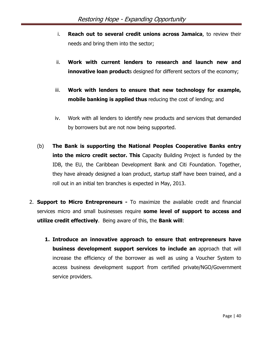- i. Reach out to several credit unions across Jamaica, to review their needs and bring them into the sector;
- ii. Work with current lenders to research and launch new and **innovative loan product**s designed for different sectors of the economy;
- iii. Work with lenders to ensure that new technology for example, **mobile banking is applied thus** reducing the cost of lending; and
- iv. Work with all lenders to identify new products and services that demanded by borrowers but are not now being supported.
- (b) The Bank is supporting the National Peoples Cooperative Banks entry **into the micro credit sector. This** Capacity Building Project is funded by the IDB, the EU, the Caribbean Development Bank and Citi Foundation. Together, they have already designed a loan product, startup staff have been trained, and a roll out in an initial ten branches is expected in May, 2013.
- 2. **Support to Micro Entrepreneurs -** To maximize the available credit and financial services micro and small businesses require some level of support to access and utilize credit effectively. Being aware of this, the Bank will:
	- 1. Introduce an innovative approach to ensure that entrepreneurs have business development support services to include an approach that will increase the efficiency of the borrower as well as using a Voucher System to access business development support from certified private/NGO/Government service providers.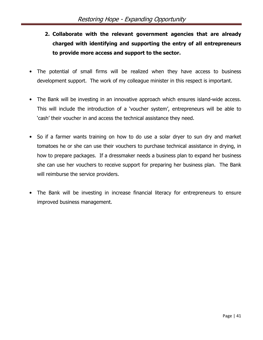- 2. Collaborate with the relevant government agencies that are already charged with identifying and supporting the entry of all entrepreneurs to provide more access and support to the sector.
- The potential of small firms will be realized when they have access to business development support. The work of my colleague minister in this respect is important.
- The Bank will be investing in an innovative approach which ensures island-wide access. This will include the introduction of a 'voucher system', entrepreneurs will be able to 'cash' their voucher in and access the technical assistance they need.
- So if a farmer wants training on how to do use a solar dryer to sun dry and market tomatoes he or she can use their vouchers to purchase technical assistance in drying, in how to prepare packages. If a dressmaker needs a business plan to expand her business she can use her vouchers to receive support for preparing her business plan. The Bank will reimburse the service providers.
- The Bank will be investing in increase financial literacy for entrepreneurs to ensure improved business management.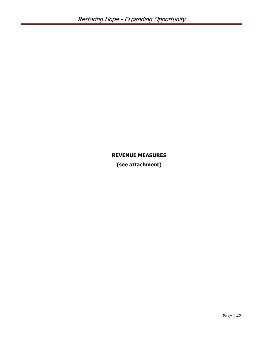# REVENUE MEASURES

(see attachment)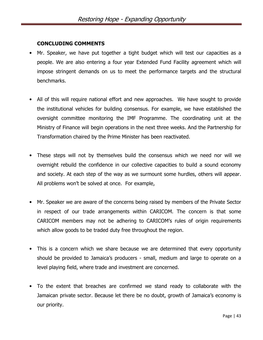#### CONCLUDING COMMENTS

- Mr. Speaker, we have put together a tight budget which will test our capacities as a people. We are also entering a four year Extended Fund Facility agreement which will impose stringent demands on us to meet the performance targets and the structural benchmarks.
- All of this will require national effort and new approaches. We have sought to provide the institutional vehicles for building consensus. For example, we have established the oversight committee monitoring the IMF Programme. The coordinating unit at the Ministry of Finance will begin operations in the next three weeks. And the Partnership for Transformation chaired by the Prime Minister has been reactivated.
- These steps will not by themselves build the consensus which we need nor will we overnight rebuild the confidence in our collective capacities to build a sound economy and society. At each step of the way as we surmount some hurdles, others will appear. All problems won't be solved at once. For example,
- Mr. Speaker we are aware of the concerns being raised by members of the Private Sector in respect of our trade arrangements within CARICOM. The concern is that some CARICOM members may not be adhering to CARICOM's rules of origin requirements which allow goods to be traded duty free throughout the region.
- This is a concern which we share because we are determined that every opportunity should be provided to Jamaica's producers - small, medium and large to operate on a level playing field, where trade and investment are concerned.
- To the extent that breaches are confirmed we stand ready to collaborate with the Jamaican private sector. Because let there be no doubt, growth of Jamaica's economy is our priority.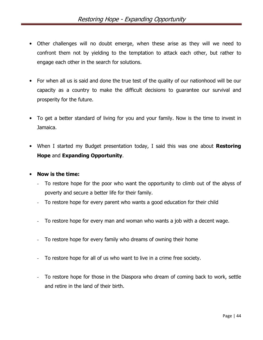- Other challenges will no doubt emerge, when these arise as they will we need to confront them not by yielding to the temptation to attack each other, but rather to engage each other in the search for solutions.
- For when all us is said and done the true test of the quality of our nationhood will be our capacity as a country to make the difficult decisions to guarantee our survival and prosperity for the future.
- To get a better standard of living for you and your family. Now is the time to invest in Jamaica.
- When I started my Budget presentation today, I said this was one about Restoring Hope and Expanding Opportunity.

#### • Now is the time:

- To restore hope for the poor who want the opportunity to climb out of the abyss of poverty and secure a better life for their family.
- To restore hope for every parent who wants a good education for their child
- To restore hope for every man and woman who wants a job with a decent wage.
- To restore hope for every family who dreams of owning their home
- To restore hope for all of us who want to live in a crime free society.
- To restore hope for those in the Diaspora who dream of coming back to work, settle and retire in the land of their birth.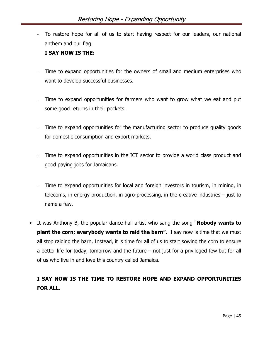- To restore hope for all of us to start having respect for our leaders, our national anthem and our flag.

#### I SAY NOW IS THE:

- Time to expand opportunities for the owners of small and medium enterprises who want to develop successful businesses.
- Time to expand opportunities for farmers who want to grow what we eat and put some good returns in their pockets.
- Time to expand opportunities for the manufacturing sector to produce quality goods for domestic consumption and export markets.
- Time to expand opportunities in the ICT sector to provide a world class product and good paying jobs for Jamaicans.
- Time to expand opportunities for local and foreign investors in tourism, in mining, in telecoms, in energy production, in agro-processing, in the creative industries – just to name a few.
- It was Anthony B, the popular dance-hall artist who sang the song "**Nobody wants to plant the corn; everybody wants to raid the barn".** I say now is time that we must all stop raiding the barn, Instead, it is time for all of us to start sowing the corn to ensure a better life for today, tomorrow and the future – not just for a privileged few but for all of us who live in and love this country called Jamaica.

# I SAY NOW IS THE TIME TO RESTORE HOPE AND EXPAND OPPORTUNITIES FOR ALL.